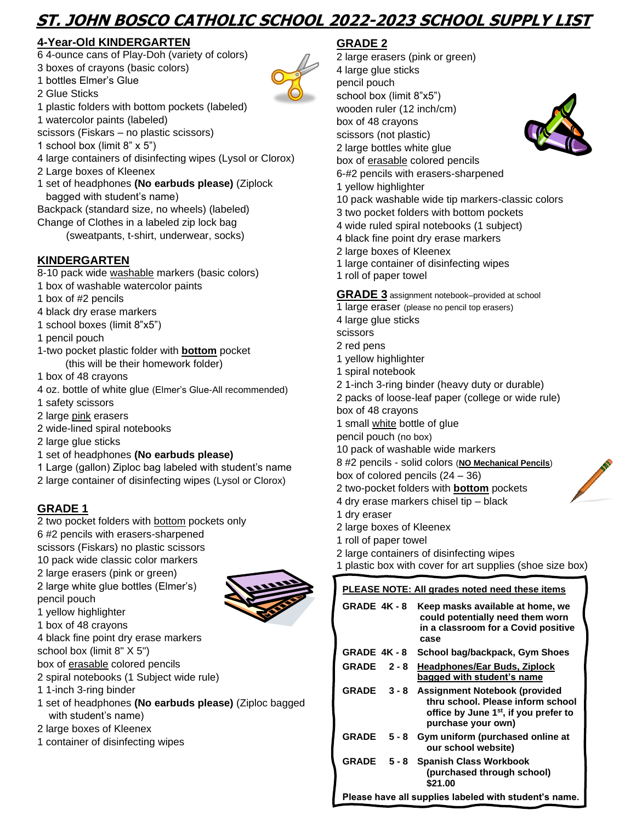# **ST. JOHN BOSCO CATHOLIC SCHOOL 2022-2023 SCHOOL SUPPLY LIST**

# **4-Year-Old KINDERGARTEN**

- 6 4-ounce cans of Play-Doh (variety of colors)
- 3 boxes of crayons (basic colors)
- 1 bottles Elmer's Glue
- 2 Glue Sticks
- 1 plastic folders with bottom pockets (labeled)
- 1 watercolor paints (labeled)
- scissors (Fiskars no plastic scissors)
- 1 school box (limit 8" x 5")
- 4 large containers of disinfecting wipes (Lysol or Clorox)
- 2 Large boxes of Kleenex
- 1 set of headphones **(No earbuds please)** (Ziplock bagged with student's name)
- Backpack (standard size, no wheels) (labeled)
- Change of Clothes in a labeled zip lock bag
	- (sweatpants, t-shirt, underwear, socks)

## **KINDERGARTEN**

- 8-10 pack wide washable markers (basic colors)
- 1 box of washable watercolor paints
- 1 box of #2 pencils
- 4 black dry erase markers
- 1 school boxes (limit 8"x5")
- 1 pencil pouch
- 1-two pocket plastic folder with **bottom** pocket (this will be their homework folder)
- 1 box of 48 crayons
- 4 oz. bottle of white glue (Elmer's Glue-All recommended)
- 1 safety scissors
- 2 large pink erasers
- 2 wide-lined spiral notebooks
- 2 large glue sticks
- 1 set of headphones **(No earbuds please)**
- 1 Large (gallon) Ziploc bag labeled with student's name
- 2 large container of disinfecting wipes (Lysol or Clorox)

## **GRADE 1**

2 two pocket folders with bottom pockets only 6 #2 pencils with erasers-sharpened scissors (Fiskars) no plastic scissors 10 pack wide classic color markers 2 large erasers (pink or green) 2 large white glue bottles (Elmer's) pencil pouch 1 yellow highlighter

- 1 box of 48 crayons
- 4 black fine point dry erase markers
- school box (limit 8" X 5")
- box of erasable colored pencils
- 2 spiral notebooks (1 Subject wide rule)
- 1 1-inch 3-ring binder
- 1 set of headphones **(No earbuds please)** (Ziploc bagged with student's name)
- 2 large boxes of Kleenex
- 1 container of disinfecting wipes

# **GRADE 2**

2 large erasers (pink or green) 4 large glue sticks pencil pouch school box (limit 8"x5") wooden ruler (12 inch/cm) box of 48 crayons scissors (not plastic) 2 large bottles white glue box of erasable colored pencils 6-#2 pencils with erasers-sharpened 1 yellow highlighter 10 pack washable wide tip markers-classic colors

- 3 two pocket folders with bottom pockets
- 4 wide ruled spiral notebooks (1 subject)
- 4 black fine point dry erase markers
- 2 large boxes of Kleenex
- 1 large container of disinfecting wipes
- 1 roll of paper towel

**GRADE 3** assignment notebook–provided at school

- 1 large eraser (please no pencil top erasers)
- 4 large glue sticks
- scissors
- 2 red pens
- 1 yellow highlighter
- 1 spiral notebook
- 2 1-inch 3-ring binder (heavy duty or durable)
- 2 packs of loose-leaf paper (college or wide rule)
- box of 48 crayons
- 1 small white bottle of glue
- pencil pouch (no box)
- 10 pack of washable wide markers
- 8 #2 pencils solid colors (**NO Mechanical Pencils**)
- box of colored pencils (24 36)
- 2 two-pocket folders with **bottom** pockets
- 4 dry erase markers chisel tip black
- 1 dry eraser
- 2 large boxes of Kleenex
- 1 roll of paper towel
- 2 large containers of disinfecting wipes
- 1 plastic box with cover for art supplies (shoe size box)

| PLEASE NOTE: All grades noted need these items        |         |                                                                                                                                               |  |  |
|-------------------------------------------------------|---------|-----------------------------------------------------------------------------------------------------------------------------------------------|--|--|
| GRADE 4K-8                                            |         | Keep masks available at home, we<br>could potentially need them worn<br>in a classroom for a Covid positive<br>case                           |  |  |
| GRADE 4K-8                                            |         | School bag/backpack, Gym Shoes                                                                                                                |  |  |
| <b>GRADE</b>                                          | $2 - 8$ | <b>Headphones/Ear Buds, Ziplock</b><br>bagged with student's name                                                                             |  |  |
| <b>GRADE</b>                                          | $3 - 8$ | Assignment Notebook (provided<br>thru school. Please inform school<br>office by June 1 <sup>st</sup> , if you prefer to<br>purchase your own) |  |  |
| <b>GRADE</b>                                          | $5 - 8$ | Gym uniform (purchased online at<br>our school website)                                                                                       |  |  |
| <b>GRADE</b>                                          | $5 - 8$ | <b>Spanish Class Workbook</b><br>(purchased through school)<br>\$21.00                                                                        |  |  |
| Please have all supplies labeled with student's name. |         |                                                                                                                                               |  |  |